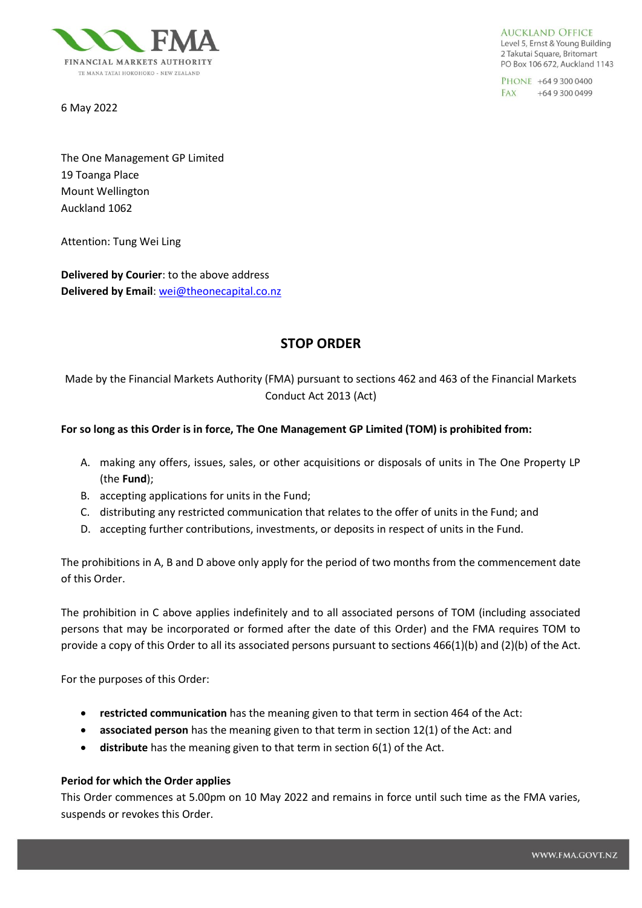

6 May 2022

**AUCKLAND OFFICE** Level 5, Ernst & Young Building 2 Takutai Square, Britomart PO Box 106 672, Auckland 1143

PHONE +64 9 300 0400 FAX +64 9 300 0499

The One Management GP Limited 19 Toanga Place Mount Wellington Auckland 1062

Attention: Tung Wei Ling

**Delivered by Courier**: to the above address **Delivered by Email**: [wei@theonecapital.co.nz](mailto:wei@theonecapital.co.nz)

# **STOP ORDER**

Made by the Financial Markets Authority (FMA) pursuant to sections 462 and 463 of the Financial Markets Conduct Act 2013 (Act)

# **For so long as this Order is in force, The One Management GP Limited (TOM) is prohibited from:**

- A. making any offers, issues, sales, or other acquisitions or disposals of units in The One Property LP (the **Fund**);
- B. accepting applications for units in the Fund;
- C. distributing any restricted communication that relates to the offer of units in the Fund; and
- D. accepting further contributions, investments, or deposits in respect of units in the Fund.

The prohibitions in A, B and D above only apply for the period of two months from the commencement date of this Order.

The prohibition in C above applies indefinitely and to all associated persons of TOM (including associated persons that may be incorporated or formed after the date of this Order) and the FMA requires TOM to provide a copy of this Order to all its associated persons pursuant to sections 466(1)(b) and (2)(b) of the Act.

For the purposes of this Order:

- **restricted communication** has the meaning given to that term in section 464 of the Act:
- **associated person** has the meaning given to that term in section 12(1) of the Act: and
- **distribute** has the meaning given to that term in section 6(1) of the Act.

### **Period for which the Order applies**

This Order commences at 5.00pm on 10 May 2022 and remains in force until such time as the FMA varies, suspends or revokes this Order.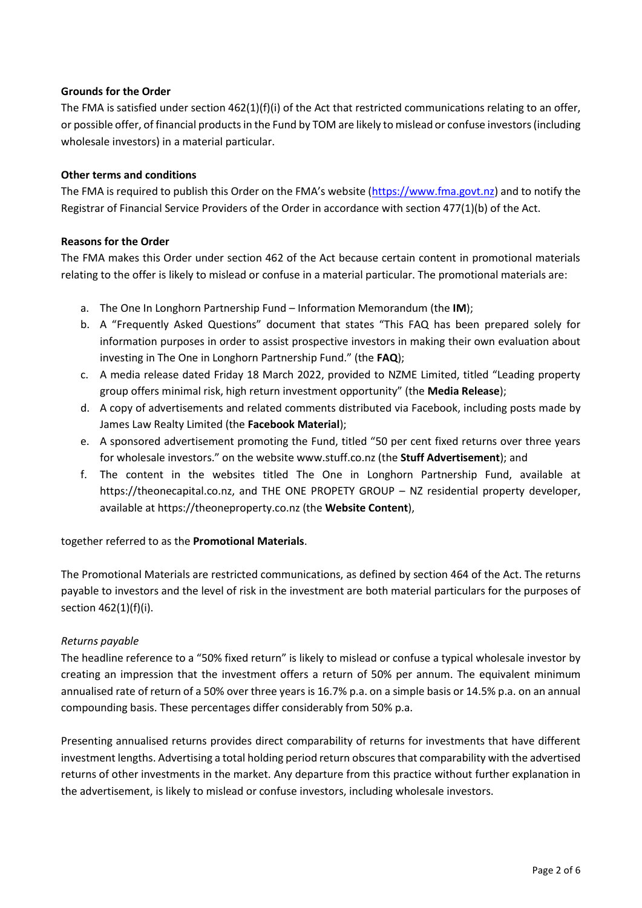# **Grounds for the Order**

The FMA is satisfied under section  $462(1)(f)(i)$  of the Act that restricted communications relating to an offer, or possible offer, of financial products in the Fund by TOM are likely to mislead or confuse investors (including wholesale investors) in a material particular.

### **Other terms and conditions**

The FMA is required to publish this Order on the FMA's website ([https://www.fma.govt.nz\)](https://www.fma.govt.nz/) and to notify the Registrar of Financial Service Providers of the Order in accordance with section 477(1)(b) of the Act.

# **Reasons for the Order**

The FMA makes this Order under section 462 of the Act because certain content in promotional materials relating to the offer is likely to mislead or confuse in a material particular. The promotional materials are:

- a. The One In Longhorn Partnership Fund Information Memorandum (the **IM**);
- b. A "Frequently Asked Questions" document that states "This FAQ has been prepared solely for information purposes in order to assist prospective investors in making their own evaluation about investing in The One in Longhorn Partnership Fund." (the **FAQ**);
- c. A media release dated Friday 18 March 2022, provided to NZME Limited, titled "Leading property group offers minimal risk, high return investment opportunity" (the **Media Release**);
- d. A copy of advertisements and related comments distributed via Facebook, including posts made by James Law Realty Limited (the **Facebook Material**);
- e. A sponsored advertisement promoting the Fund, titled "50 per cent fixed returns over three years for wholesale investors." on the website www.stuff.co.nz (the **Stuff Advertisement**); and
- f. The content in the websites titled The One in Longhorn Partnership Fund, available at https://theonecapital.co.nz, and THE ONE PROPETY GROUP – NZ residential property developer, available at https://theoneproperty.co.nz (the **Website Content**),

### together referred to as the **Promotional Materials**.

The Promotional Materials are restricted communications, as defined by section 464 of the Act. The returns payable to investors and the level of risk in the investment are both material particulars for the purposes of section 462(1)(f)(i).

### *Returns payable*

The headline reference to a "50% fixed return" is likely to mislead or confuse a typical wholesale investor by creating an impression that the investment offers a return of 50% per annum. The equivalent minimum annualised rate of return of a 50% over three years is 16.7% p.a. on a simple basis or 14.5% p.a. on an annual compounding basis. These percentages differ considerably from 50% p.a.

Presenting annualised returns provides direct comparability of returns for investments that have different investment lengths. Advertising a total holding period return obscures that comparability with the advertised returns of other investments in the market. Any departure from this practice without further explanation in the advertisement, is likely to mislead or confuse investors, including wholesale investors.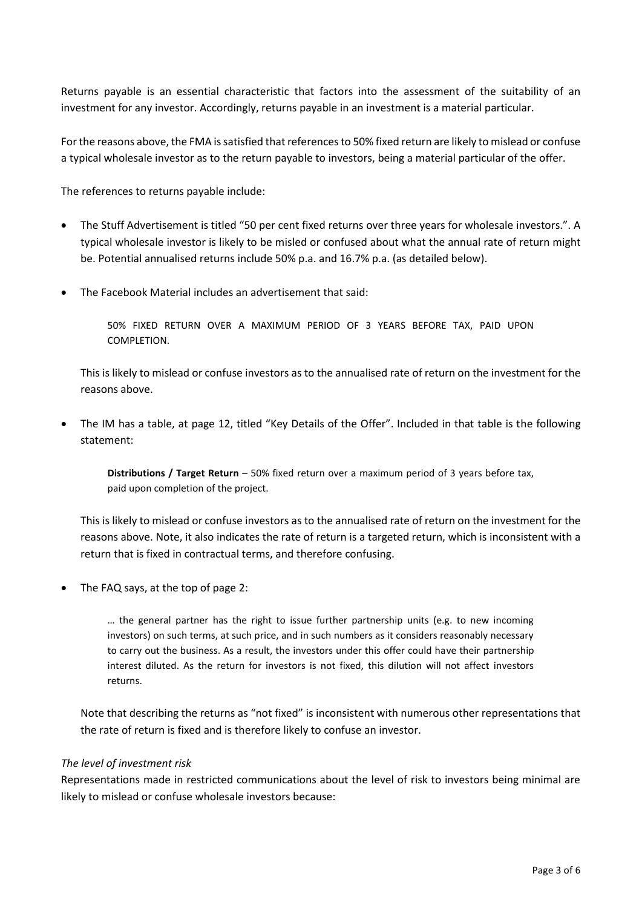Returns payable is an essential characteristic that factors into the assessment of the suitability of an investment for any investor. Accordingly, returns payable in an investment is a material particular.

For the reasons above, the FMA is satisfied that references to 50% fixed return are likely to mislead or confuse a typical wholesale investor as to the return payable to investors, being a material particular of the offer.

The references to returns payable include:

- The Stuff Advertisement is titled "50 per cent fixed returns over three years for wholesale investors.". A typical wholesale investor is likely to be misled or confused about what the annual rate of return might be. Potential annualised returns include 50% p.a. and 16.7% p.a. (as detailed below).
- The Facebook Material includes an advertisement that said:

50% FIXED RETURN OVER A MAXIMUM PERIOD OF 3 YEARS BEFORE TAX, PAID UPON COMPLETION.

This is likely to mislead or confuse investors as to the annualised rate of return on the investment for the reasons above.

• The IM has a table, at page 12, titled "Key Details of the Offer". Included in that table is the following statement:

**Distributions / Target Return** – 50% fixed return over a maximum period of 3 years before tax, paid upon completion of the project.

This is likely to mislead or confuse investors as to the annualised rate of return on the investment for the reasons above. Note, it also indicates the rate of return is a targeted return, which is inconsistent with a return that is fixed in contractual terms, and therefore confusing.

• The FAQ says, at the top of page 2:

… the general partner has the right to issue further partnership units (e.g. to new incoming investors) on such terms, at such price, and in such numbers as it considers reasonably necessary to carry out the business. As a result, the investors under this offer could have their partnership interest diluted. As the return for investors is not fixed, this dilution will not affect investors returns.

Note that describing the returns as "not fixed" is inconsistent with numerous other representations that the rate of return is fixed and is therefore likely to confuse an investor.

#### *The level of investment risk*

Representations made in restricted communications about the level of risk to investors being minimal are likely to mislead or confuse wholesale investors because: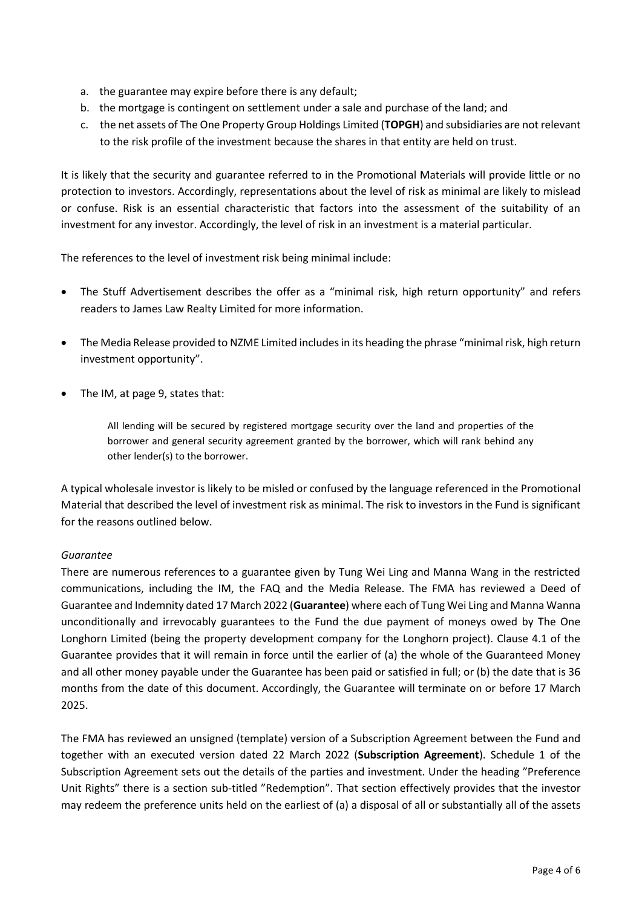- a. the guarantee may expire before there is any default;
- b. the mortgage is contingent on settlement under a sale and purchase of the land; and
- c. the net assets of The One Property Group Holdings Limited (**TOPGH**) and subsidiaries are not relevant to the risk profile of the investment because the shares in that entity are held on trust.

It is likely that the security and guarantee referred to in the Promotional Materials will provide little or no protection to investors. Accordingly, representations about the level of risk as minimal are likely to mislead or confuse. Risk is an essential characteristic that factors into the assessment of the suitability of an investment for any investor. Accordingly, the level of risk in an investment is a material particular.

The references to the level of investment risk being minimal include:

- The Stuff Advertisement describes the offer as a "minimal risk, high return opportunity" and refers readers to James Law Realty Limited for more information.
- The Media Release provided to NZME Limited includes in its heading the phrase "minimal risk, high return investment opportunity".
- The IM, at page 9, states that:

All lending will be secured by registered mortgage security over the land and properties of the borrower and general security agreement granted by the borrower, which will rank behind any other lender(s) to the borrower.

A typical wholesale investor is likely to be misled or confused by the language referenced in the Promotional Material that described the level of investment risk as minimal. The risk to investors in the Fund is significant for the reasons outlined below.

# *Guarantee*

There are numerous references to a guarantee given by Tung Wei Ling and Manna Wang in the restricted communications, including the IM, the FAQ and the Media Release. The FMA has reviewed a Deed of Guarantee and Indemnity dated 17 March 2022 (**Guarantee**) where each of Tung Wei Ling and Manna Wanna unconditionally and irrevocably guarantees to the Fund the due payment of moneys owed by The One Longhorn Limited (being the property development company for the Longhorn project). Clause 4.1 of the Guarantee provides that it will remain in force until the earlier of (a) the whole of the Guaranteed Money and all other money payable under the Guarantee has been paid or satisfied in full; or (b) the date that is 36 months from the date of this document. Accordingly, the Guarantee will terminate on or before 17 March 2025.

The FMA has reviewed an unsigned (template) version of a Subscription Agreement between the Fund and together with an executed version dated 22 March 2022 (**Subscription Agreement**). Schedule 1 of the Subscription Agreement sets out the details of the parties and investment. Under the heading "Preference Unit Rights" there is a section sub-titled "Redemption". That section effectively provides that the investor may redeem the preference units held on the earliest of (a) a disposal of all or substantially all of the assets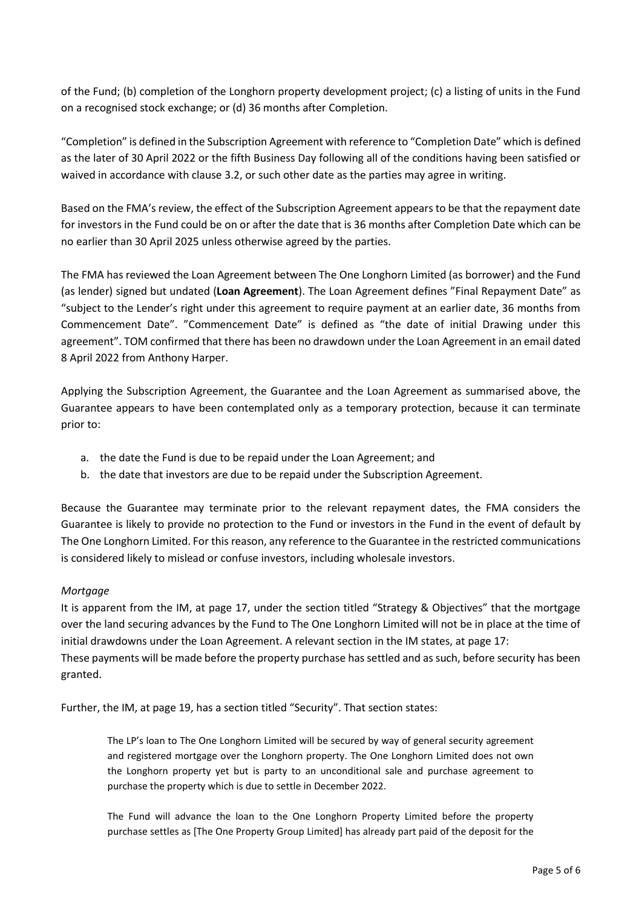of the Fund; (b) completion of the Longhorn property development project; (c) a listing of units in the Fund on a recognised stock exchange; or (d) 36 months after Completion.

"Completion" is defined in the Subscription Agreement with reference to "Completion Date" which is defined as the later of 30 April 2022 or the fifth Business Day following all of the conditions having been satisfied or waived in accordance with clause 3.2, or such other date as the parties may agree in writing.

Based on the FMA's review, the effect of the Subscription Agreement appears to be that the repayment date for investors in the Fund could be on or after the date that is 36 months after Completion Date which can be no earlier than 30 April 2025 unless otherwise agreed by the parties.

The FMA has reviewed the Loan Agreement between The One Longhorn Limited (as borrower) and the Fund (as lender) signed but undated (**Loan Agreement**). The Loan Agreement defines "Final Repayment Date" as "subject to the Lender's right under this agreement to require payment at an earlier date, 36 months from Commencement Date". "Commencement Date" is defined as "the date of initial Drawing under this agreement". TOM confirmed that there has been no drawdown under the Loan Agreement in an email dated 8 April 2022 from Anthony Harper.

Applying the Subscription Agreement, the Guarantee and the Loan Agreement as summarised above, the Guarantee appears to have been contemplated only as a temporary protection, because it can terminate prior to:

- a. the date the Fund is due to be repaid under the Loan Agreement; and
- b. the date that investors are due to be repaid under the Subscription Agreement.

Because the Guarantee may terminate prior to the relevant repayment dates, the FMA considers the Guarantee is likely to provide no protection to the Fund or investors in the Fund in the event of default by The One Longhorn Limited. For this reason, any reference to the Guarantee in the restricted communications is considered likely to mislead or confuse investors, including wholesale investors.

### *Mortgage*

It is apparent from the IM, at page 17, under the section titled "Strategy & Objectives" that the mortgage over the land securing advances by the Fund to The One Longhorn Limited will not be in place at the time of initial drawdowns under the Loan Agreement. A relevant section in the IM states, at page 17: These payments will be made before the property purchase has settled and as such, before security has been granted.

Further, the IM, at page 19, has a section titled "Security". That section states:

The LP's loan to The One Longhorn Limited will be secured by way of general security agreement and registered mortgage over the Longhorn property. The One Longhorn Limited does not own the Longhorn property yet but is party to an unconditional sale and purchase agreement to purchase the property which is due to settle in December 2022.

The Fund will advance the loan to the One Longhorn Property Limited before the property purchase settles as [The One Property Group Limited] has already part paid of the deposit for the